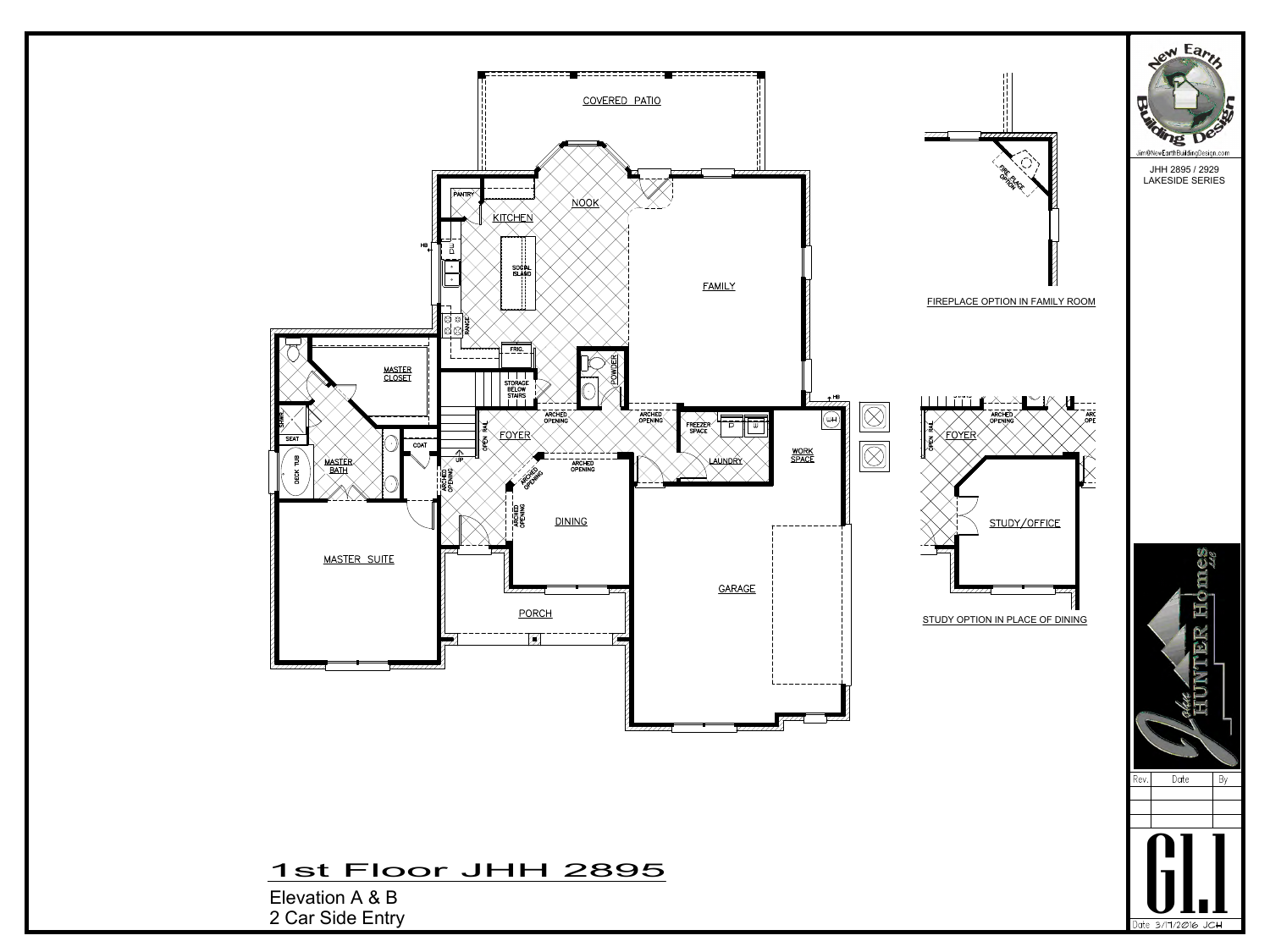2 Car Side Entry

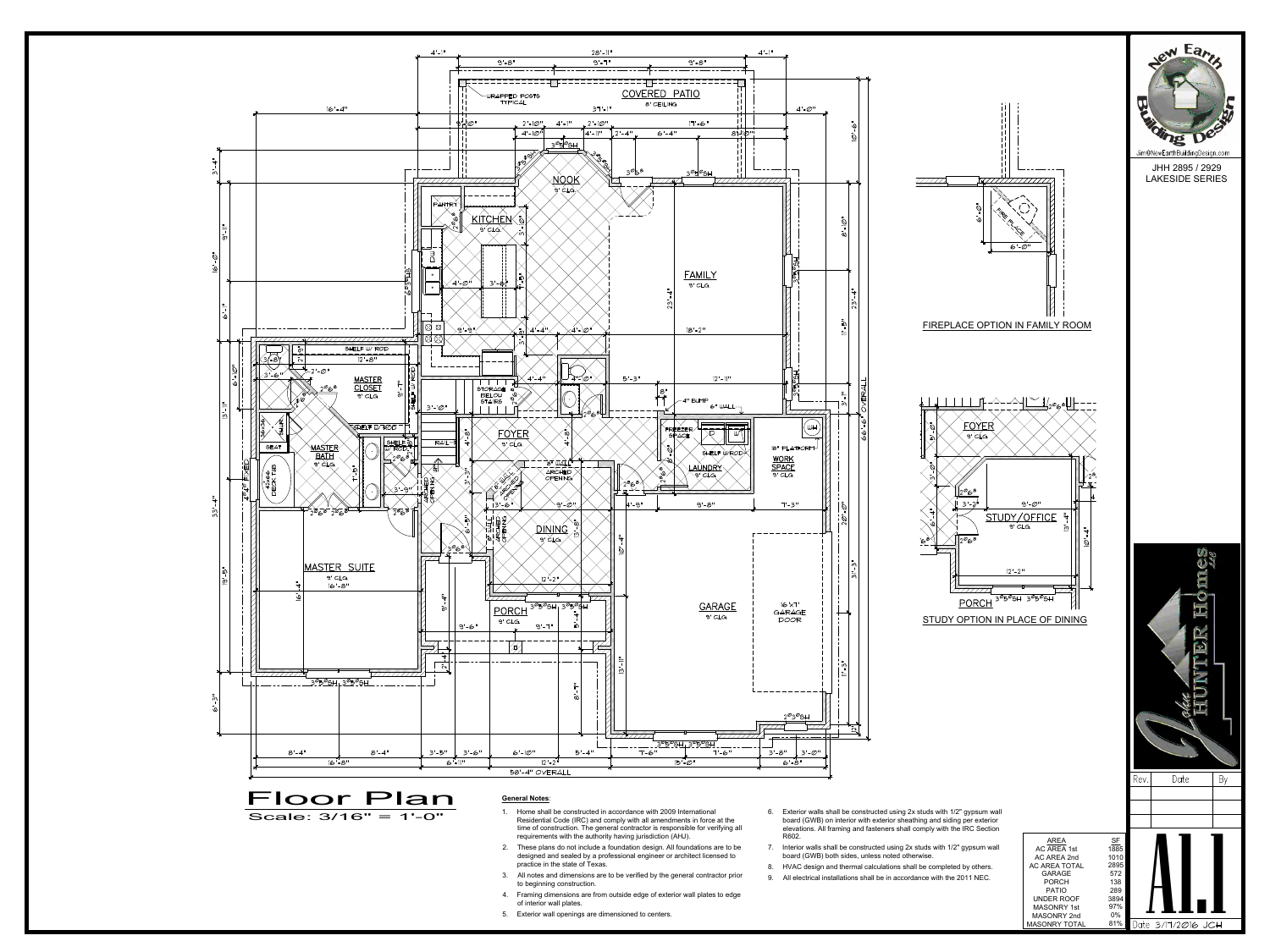

- 
- 
- 
- 
- 
- 
- 
- 
- 
-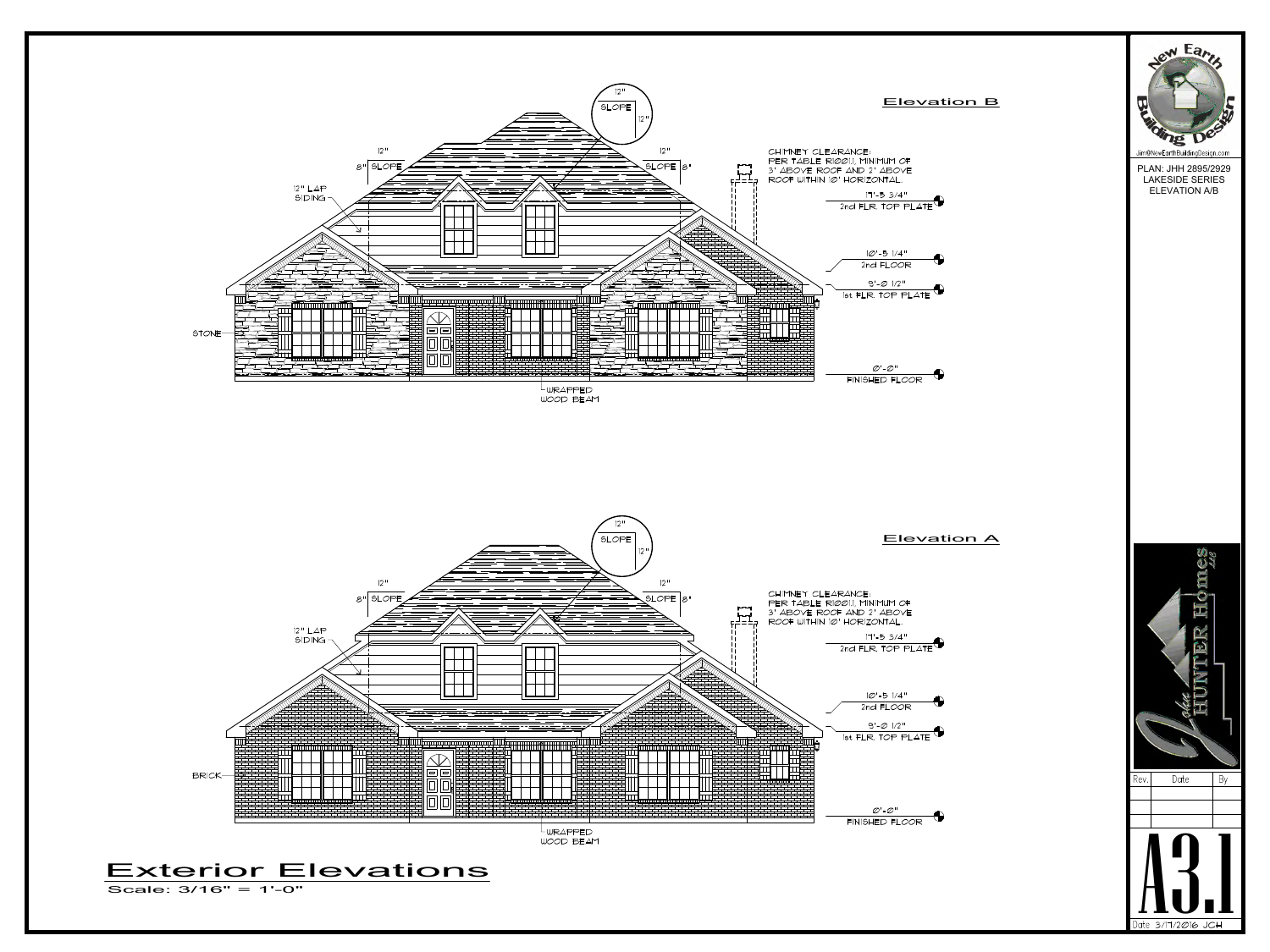



## Elevation A



## Elevation B



PLAN: JHH 2895/2929 LAKESIDE SERIES ELEVATION A/B